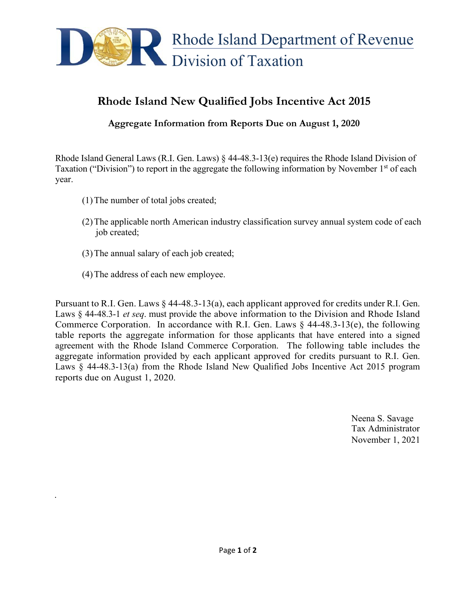

## **Rhode Island New Qualified Jobs Incentive Act 2015**

**Aggregate Information from Reports Due on August 1, 2020**

Rhode Island General Laws (R.I. Gen. Laws) § 44-48.3-13(e) requires the Rhode Island Division of Taxation ("Division") to report in the aggregate the following information by November  $1<sup>st</sup>$  of each year.

- (1)The number of total jobs created;
- (2)The applicable north American industry classification survey annual system code of each job created;
- (3)The annual salary of each job created;
- (4)The address of each new employee.

.

Pursuant to R.I. Gen. Laws § 44-48.3-13(a), each applicant approved for credits under R.I. Gen. Laws § 44-48.3-1 *et seq*. must provide the above information to the Division and Rhode Island Commerce Corporation. In accordance with R.I. Gen. Laws  $\S$  44-48.3-13(e), the following table reports the aggregate information for those applicants that have entered into a signed agreement with the Rhode Island Commerce Corporation. The following table includes the aggregate information provided by each applicant approved for credits pursuant to R.I. Gen. Laws § 44-48.3-13(a) from the Rhode Island New Qualified Jobs Incentive Act 2015 program reports due on August 1, 2020.

> Neena S. Savage Tax Administrator November 1, 2021